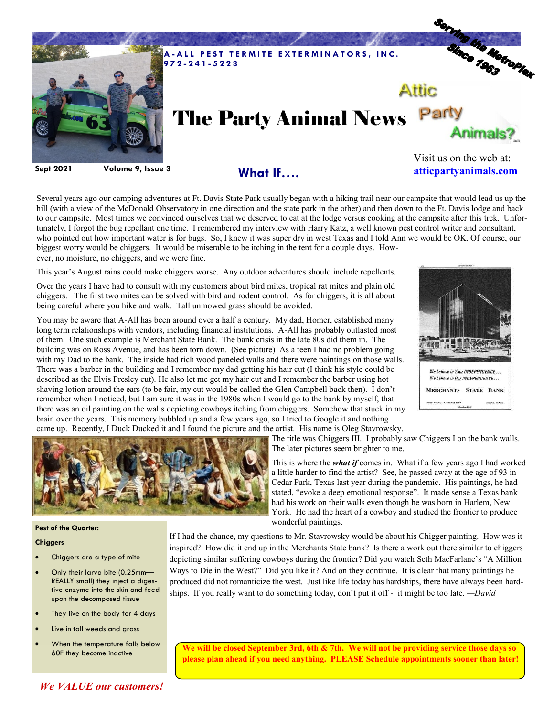

Several years ago our camping adventures at Ft. Davis State Park usually began with a hiking trail near our campsite that would lead us up the hill (with a view of the McDonald Observatory in one direction and the state park in the other) and then down to the Ft. Davis lodge and back to our campsite. Most times we convinced ourselves that we deserved to eat at the lodge versus cooking at the campsite after this trek. Unfortunately, I forgot the bug repellant one time. I remembered my interview with Harry Katz, a well known pest control writer and consultant, who pointed out how important water is for bugs. So, I knew it was super dry in west Texas and I told Ann we would be OK. Of course, our biggest worry would be chiggers. It would be miserable to be itching in the tent for a couple days. However, no moisture, no chiggers, and we were fine.

This year's August rains could make chiggers worse. Any outdoor adventures should include repellents.

Over the years I have had to consult with my customers about bird mites, tropical rat mites and plain old chiggers. The first two mites can be solved with bird and rodent control. As for chiggers, it is all about being careful where you hike and walk. Tall unmowed grass should be avoided.

You may be aware that A-All has been around over a half a century. My dad, Homer, established many long term relationships with vendors, including financial institutions. A-All has probably outlasted most of them. One such example is Merchant State Bank. The bank crisis in the late 80s did them in. The building was on Ross Avenue, and has been torn down. (See picture) As a teen I had no problem going with my Dad to the bank. The inside had rich wood paneled walls and there were paintings on those walls. There was a barber in the building and I remember my dad getting his hair cut (I think his style could be described as the Elvis Presley cut). He also let me get my hair cut and I remember the barber using hot shaving lotion around the ears (to be fair, my cut would be called the Glen Campbell back then). I don't remember when I noticed, but I am sure it was in the 1980s when I would go to the bank by myself, that there was an oil painting on the walls depicting cowboys itching from chiggers. Somehow that stuck in my brain over the years. This memory bubbled up and a few years ago, so I tried to Google it and nothing came up. Recently, I Duck Ducked it and I found the picture and the artist. His name is Oleg Stavrowsky.





**Pest of the Quarter:**

## **Chiggers**

- Chiggers are a type of mite
- Only their larva bite (0.25mm— REALLY small) they inject a digestive enzyme into the skin and feed upon the decomposed tissue
- They live on the body for 4 days
- Live in tall weeds and grass
- When the temperature falls below 60F they become inactive

The title was Chiggers III. I probably saw Chiggers I on the bank walls. The later pictures seem brighter to me.

This is where the *what if* comes in. What if a few years ago I had worked a little harder to find the artist? See, he passed away at the age of 93 in Cedar Park, Texas last year during the pandemic. His paintings, he had stated, "evoke a deep emotional response". It made sense a Texas bank had his work on their walls even though he was born in Harlem, New York. He had the heart of a cowboy and studied the frontier to produce wonderful paintings.

If I had the chance, my questions to Mr. Stavrowsky would be about his Chigger painting. How was it inspired? How did it end up in the Merchants State bank? Is there a work out there similar to chiggers depicting similar suffering cowboys during the frontier? Did you watch Seth MacFarlane's "A Million Ways to Die in the West?" Did you like it? And on they continue. It is clear that many paintings he produced did not romanticize the west. Just like life today has hardships, there have always been hardships. If you really want to do something today, don't put it off - it might be too late. *—David*

**We will be closed September 3rd, 6th & 7th. We will not be providing service those days so please plan ahead if you need anything. PLEASE Schedule appointments sooner than later!** 

## *We VALUE our customers!*